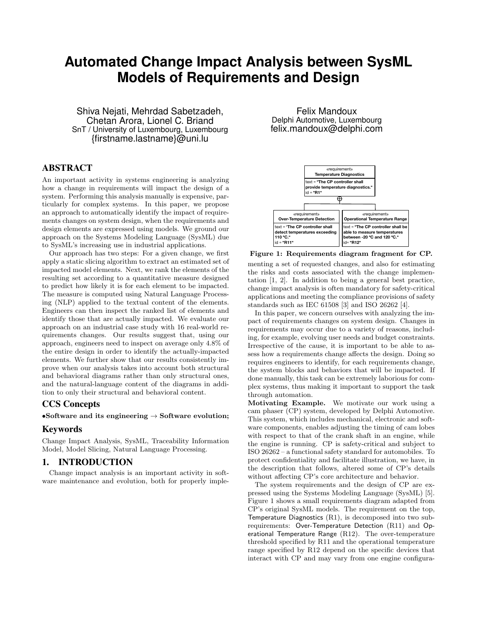# **Automated Change Impact Analysis between SysML Models of Requirements and Design**

Shiva Nejati, Mehrdad Sabetzadeh, Chetan Arora, Lionel C. Briand SnT / University of Luxembourg, Luxembourg {firstname.lastname}@uni.lu

# ABSTRACT

An important activity in systems engineering is analyzing how a change in requirements will impact the design of a system. Performing this analysis manually is expensive, particularly for complex systems. In this paper, we propose an approach to automatically identify the impact of requirements changes on system design, when the requirements and design elements are expressed using models. We ground our approach on the Systems Modeling Language (SysML) due to SysML's increasing use in industrial applications.

Our approach has two steps: For a given change, we first apply a static slicing algorithm to extract an estimated set of impacted model elements. Next, we rank the elements of the resulting set according to a quantitative measure designed to predict how likely it is for each element to be impacted. The measure is computed using Natural Language Processing (NLP) applied to the textual content of the elements. Engineers can then inspect the ranked list of elements and identify those that are actually impacted. We evaluate our approach on an industrial case study with 16 real-world requirements changes. Our results suggest that, using our approach, engineers need to inspect on average only 4.8% of the entire design in order to identify the actually-impacted elements. We further show that our results consistently improve when our analysis takes into account both structural and behavioral diagrams rather than only structural ones, and the natural-language content of the diagrams in addition to only their structural and behavioral content.

## CCS Concepts

## •Software and its engineering  $\rightarrow$  Software evolution;

## Keywords

Change Impact Analysis, SysML, Traceability Information Model, Model Slicing, Natural Language Processing.

## 1. INTRODUCTION

Change impact analysis is an important activity in software maintenance and evolution, both for properly imple-

Felix Mandoux Delphi Automotive, Luxembourg felix.mandoux@delphi.com



Figure 1: Requirements diagram fragment for CP. menting a set of requested changes, and also for estimating the risks and costs associated with the change implementation [1, 2]. In addition to being a general best practice, change impact analysis is often mandatory for safety-critical applications and meeting the compliance provisions of safety standards such as IEC 61508 [3] and ISO 26262 [4].

In this paper, we concern ourselves with analyzing the impact of requirements changes on system design. Changes in requirements may occur due to a variety of reasons, including, for example, evolving user needs and budget constraints. Irrespective of the cause, it is important to be able to assess how a requirements change affects the design. Doing so requires engineers to identify, for each requirements change, the system blocks and behaviors that will be impacted. If done manually, this task can be extremely laborious for complex systems, thus making it important to support the task through automation.

Motivating Example. We motivate our work using a cam phaser (CP) system, developed by Delphi Automotive. This system, which includes mechanical, electronic and software components, enables adjusting the timing of cam lobes with respect to that of the crank shaft in an engine, while the engine is running. CP is safety-critical and subject to ISO 26262 – a functional safety standard for automobiles. To protect confidentiality and facilitate illustration, we have, in the description that follows, altered some of CP's details without affecting CP's core architecture and behavior.

The system requirements and the design of CP are expressed using the Systems Modeling Language (SysML) [5]. Figure 1 shows a small requirements diagram adapted from CP's original SysML models. The requirement on the top, Temperature Diagnostics (R1), is decomposed into two subrequirements: Over-Temperature Detection (R11) and Operational Temperature Range (R12). The over-temperature threshold specified by R11 and the operational temperature range specified by R12 depend on the specific devices that interact with CP and may vary from one engine configura-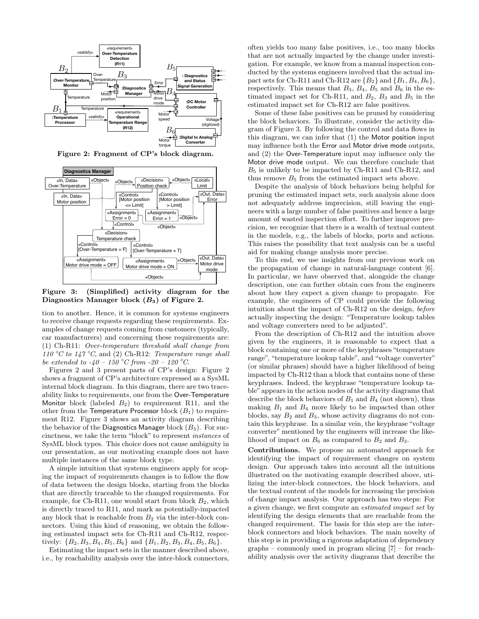





Figure 3: (Simplified) activity diagram for the Diagnostics Manager block  $(B_3)$  of Figure 2.

tion to another. Hence, it is common for systems engineers to receive change requests regarding these requirements. Examples of change requests coming from customers (typically, car manufacturers) and concerning these requirements are: (1) Ch-R11: Over-temperature threshold shall change from 110 °C to 147 °C, and (2) Ch-R12: Temperature range shall be extended to  $-40 - 150$  °C from  $-20 - 120$  °C.

Figures 2 and 3 present parts of CP's design: Figure 2 shows a fragment of CP's architecture expressed as a SysML internal block diagram. In this diagram, there are two traceability links to requirements, one from the Over-Temperature Monitor block (labeled  $B_2$ ) to requirement R11, and the other from the Temperature Processor block  $(B_1)$  to requirement R12. Figure 3 shows an activity diagram describing the behavior of the Diagnostics Manager block  $(B_3)$ . For succinctness, we take the term "block" to represent instances of SysML block types. This choice does not cause ambiguity in our presentation, as our motivating example does not have multiple instances of the same block type.

A simple intuition that systems engineers apply for scoping the impact of requirements changes is to follow the flow of data between the design blocks, starting from the blocks that are directly traceable to the changed requirements. For example, for Ch-R11, one would start from block  $B_2$ , which is directly traced to R11, and mark as potentially-impacted any block that is reachable from  $B_2$  via the inter-block connectors. Using this kind of reasoning, we obtain the following estimated impact sets for Ch-R11 and Ch-R12, respectively:  ${B_2, B_3, B_4, B_5, B_6}$  and  ${B_1, B_2, B_3, B_4, B_5, B_6}$ .

Estimating the impact sets in the manner described above, i.e., by reachability analysis over the inter-block connectors, often yields too many false positives, i.e., too many blocks that are not actually impacted by the change under investigation. For example, we know from a manual inspection conducted by the systems engineers involved that the actual impact sets for Ch-R11 and Ch-R12 are  $\{B_2\}$  and  $\{B_1, B_4, B_6\}$ , respectively. This means that  $B_3$ ,  $B_4$ ,  $B_5$  and  $B_6$  in the estimated impact set for Ch-R11, and  $B_2$ ,  $B_3$  and  $B_5$  in the estimated impact set for Ch-R12 are false positives.

Some of these false positives can be pruned by considering the block behaviors. To illustrate, consider the activity diagram of Figure 3. By following the control and data flows in this diagram, we can infer that (1) the Motor position input may influence both the Error and Motor drive mode outputs, and (2) the Over-Temperature input may influence only the Motor drive mode output. We can therefore conclude that  $B_5$  is unlikely to be impacted by Ch-R11 and Ch-R12, and thus remove  $B_5$  from the estimated impact sets above.

Despite the analysis of block behaviors being helpful for pruning the estimated impact sets, such analysis alone does not adequately address imprecision, still leaving the engineers with a large number of false positives and hence a large amount of wasted inspection effort. To further improve precision, we recognize that there is a wealth of textual content in the models, e.g., the labels of blocks, ports and actions. This raises the possibility that text analysis can be a useful aid for making change analysis more precise.

To this end, we use insights from our previous work on the propagation of change in natural-language content [6]. In particular, we have observed that, alongside the change description, one can further obtain cues from the engineers about how they expect a given change to propagate. For example, the engineers of CP could provide the following intuition about the impact of Ch-R12 on the design, before actually inspecting the design: "Temperature lookup tables and voltage converters need to be adjusted".

From the description of Ch-R12 and the intuition above given by the engineers, it is reasonable to expect that a block containing one or more of the keyphrases "temperature range", "temperature lookup table", and "voltage converter" (or similar phrases) should have a higher likelihood of being impacted by Ch-R12 than a block that contains none of these keyphrases. Indeed, the keyphrase "temperature lookup table" appears in the action nodes of the activity diagrams that describe the block behaviors of  $B_1$  and  $B_4$  (not shown), thus making  $B_1$  and  $B_4$  more likely to be impacted than other blocks, say  $B_2$  and  $B_3$ , whose activity diagrams do not contain this keyphrase. In a similar vein, the keyphrase "voltage converter" mentioned by the engineers will increase the likelihood of impact on  $B_6$  as compared to  $B_2$  and  $B_3$ .

Contributions. We propose an automated approach for identifying the impact of requirement changes on system design. Our approach takes into account all the intuitions illustrated on the motivating example described above, utilizing the inter-block connectors, the block behaviors, and the textual content of the models for increasing the precision of change impact analysis. Our approach has two steps: For a given change, we first compute an estimated impact set by identifying the design elements that are reachable from the changed requirement. The basis for this step are the interblock connectors and block behaviors. The main novelty of this step is in providing a rigorous adaptation of dependency graphs – commonly used in program slicing [7] – for reachability analysis over the activity diagrams that describe the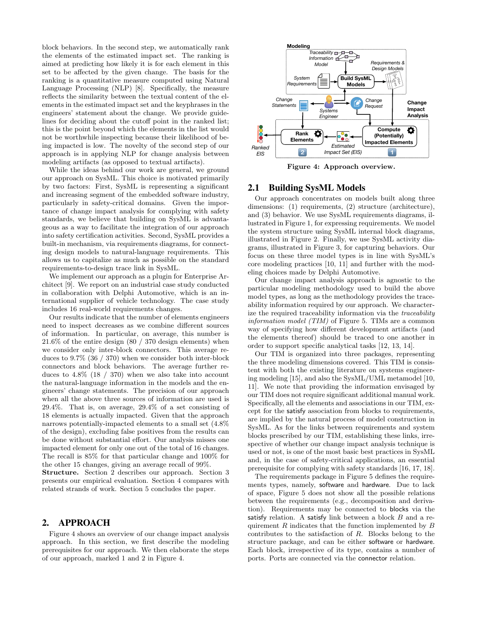block behaviors. In the second step, we automatically rank the elements of the estimated impact set. The ranking is aimed at predicting how likely it is for each element in this set to be affected by the given change. The basis for the ranking is a quantitative measure computed using Natural Language Processing (NLP) [8]. Specifically, the measure reflects the similarity between the textual content of the elements in the estimated impact set and the keyphrases in the engineers' statement about the change. We provide guidelines for deciding about the cutoff point in the ranked list; this is the point beyond which the elements in the list would not be worthwhile inspecting because their likelihood of being impacted is low. The novelty of the second step of our approach is in applying NLP for change analysis between modeling artifacts (as opposed to textual artifacts).

While the ideas behind our work are general, we ground our approach on SysML. This choice is motivated primarily by two factors: First, SysML is representing a significant and increasing segment of the embedded software industry, particularly in safety-critical domains. Given the importance of change impact analysis for complying with safety standards, we believe that building on SysML is advantageous as a way to facilitate the integration of our approach into safety certification activities. Second, SysML provides a built-in mechanism, via requirements diagrams, for connecting design models to natural-language requirements. This allows us to capitalize as much as possible on the standard requirements-to-design trace link in SysML.

We implement our approach as a plugin for Enterprise Architect [9]. We report on an industrial case study conducted in collaboration with Delphi Automotive, which is an international supplier of vehicle technology. The case study includes 16 real-world requirements changes.

Our results indicate that the number of elements engineers need to inspect decreases as we combine different sources of information. In particular, on average, this number is 21.6% of the entire design (80 / 370 design elements) when we consider only inter-block connectors. This average reduces to 9.7% (36 / 370) when we consider both inter-block connectors and block behaviors. The average further reduces to  $4.8\%$  (18 / 370) when we also take into account the natural-language information in the models and the engineers' change statements. The precision of our approach when all the above three sources of information are used is 29.4%. That is, on average, 29.4% of a set consisting of 18 elements is actually impacted. Given that the approach narrows potentially-impacted elements to a small set (4.8% of the design), excluding false positives from the results can be done without substantial effort. Our analysis misses one impacted element for only one out of the total of 16 changes. The recall is 85% for that particular change and 100% for the other 15 changes, giving an average recall of 99%.

Structure. Section 2 describes our approach. Section 3 presents our empirical evaluation. Section 4 compares with related strands of work. Section 5 concludes the paper.

# 2. APPROACH

Figure 4 shows an overview of our change impact analysis approach. In this section, we first describe the modeling prerequisites for our approach. We then elaborate the steps of our approach, marked 1 and 2 in Figure 4.



Figure 4: Approach overview.

## 2.1 Building SysML Models

Our approach concentrates on models built along three dimensions: (1) requirements, (2) structure (architecture), and (3) behavior. We use SysML requirements diagrams, illustrated in Figure 1, for expressing requirements. We model the system structure using SysML internal block diagrams, illustrated in Figure 2. Finally, we use SysML activity diagrams, illustrated in Figure 3, for capturing behaviors. Our focus on these three model types is in line with SysML's core modeling practices [10, 11] and further with the modeling choices made by Delphi Automotive.

Our change impact analysis approach is agnostic to the particular modeling methodology used to build the above model types, as long as the methodology provides the traceability information required by our approach. We characterize the required traceability information via the traceability information model (TIM) of Figure 5. TIMs are a common way of specifying how different development artifacts (and the elements thereof) should be traced to one another in order to support specific analytical tasks [12, 13, 14].

Our TIM is organized into three packages, representing the three modeling dimensions covered. This TIM is consistent with both the existing literature on systems engineering modeling [15], and also the SysML/UML metamodel [10, 11]. We note that providing the information envisaged by our TIM does not require significant additional manual work. Specifically, all the elements and associations in our TIM, except for the satisfy association from blocks to requirements, are implied by the natural process of model construction in SysML. As for the links between requirements and system blocks prescribed by our TIM, establishing these links, irrespective of whether our change impact analysis technique is used or not, is one of the most basic best practices in SysML and, in the case of safety-critical applications, an essential prerequisite for complying with safety standards [16, 17, 18].

The requirements package in Figure 5 defines the requirements types, namely, software and hardware. Due to lack of space, Figure 5 does not show all the possible relations between the requirements (e.g., decomposition and derivation). Requirements may be connected to blocks via the satisfy relation. A satisfy link between a block  $B$  and a requirement  $R$  indicates that the function implemented by  $B$ contributes to the satisfaction of R. Blocks belong to the structure package, and can be either software or hardware. Each block, irrespective of its type, contains a number of ports. Ports are connected via the connector relation.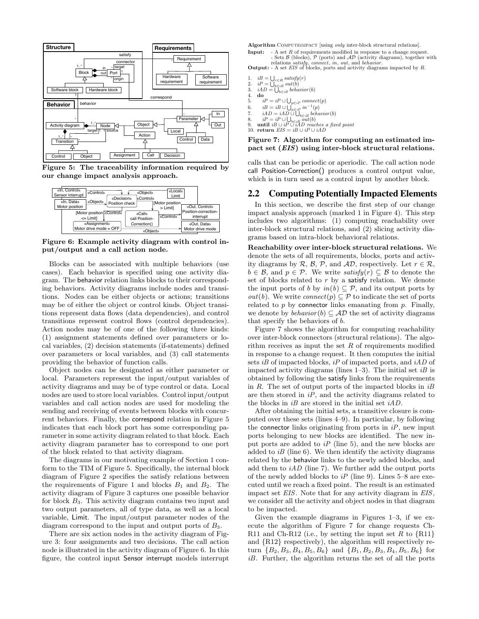

Figure 5: The traceability information required by our change impact analysis approach.



Figure 6: Example activity diagram with control input/output and a call action node.

Blocks can be associated with multiple behaviors (use cases). Each behavior is specified using one activity diagram. The behavior relation links blocks to their corresponding behaviors. Activity diagrams include nodes and transitions. Nodes can be either objects or actions; transitions may be of either the object or control kinds. Object transitions represent data flows (data dependencies), and control transitions represent control flows (control dependencies). Action nodes may be of one of the following three kinds: (1) assignment statements defined over parameters or local variables, (2) decision statements (if-statements) defined over parameters or local variables, and (3) call statements providing the behavior of function calls.

Object nodes can be designated as either parameter or local. Parameters represent the input/output variables of activity diagrams and may be of type control or data. Local nodes are used to store local variables. Control input/output variables and call action nodes are used for modeling the sending and receiving of events between blocks with concurrent behaviors. Finally, the correspond relation in Figure 5 indicates that each block port has some corresponding parameter in some activity diagram related to that block. Each activity diagram parameter has to correspond to one port of the block related to that activity diagram.

The diagrams in our motivating example of Section 1 conform to the TIM of Figure 5. Specifically, the internal block diagram of Figure 2 specifies the satisfy relations between the requirements of Figure 1 and blocks  $B_1$  and  $B_2$ . The activity diagram of Figure 3 captures one possible behavior for block B3. This activity diagram contains two input and two output parameters, all of type data, as well as a local variable, Limit. The input/output parameter nodes of the diagram correspond to the input and output ports of  $B_3$ .

There are six action nodes in the activity diagram of Figure 3: four assignments and two decisions. The call action node is illustrated in the activity diagram of Figure 6. In this figure, the control input Sensor interrupt models interrupt Algorithm COMPUTEIMPACT [using only inter-block structural relations].

**Input:**  $A$  set R of requirements modified in response to a change request. Sets  $\beta$  (blocks),  $\mathcal{P}$  (ports) and  $\mathcal{AD}$  (activity diagrams), together with

relations *satisfy*, connect, in, out, and *behavior*.<br> **Output:** - A set *EIS* of blocks, ports and activity diagrams impacted by *R*.

- 1.  $iB = \bigcup_{r \in R} satisfy(r)$
- 
- 2.  $iP = \bigcup_{b \in iB} out(b)$ <br>3.  $iAD = \bigcup_{b \in iB} behaviour(b)$
- 4. do  $\frac{4}{5}$ .
- 5.  $iP = iP \cup \bigcup_{p \in iP} connect(p)$
- 6.  $iB = iB \cup \bigcup_{p \in iP} in^{-1}(p)$ <br>7.  $iAD = iAD \cup \bigcup_{b \in iB} behavior(b)$
- 
- 8. *iP* = *iP* ∪ ∪<sub>b∈*iB*</sub> *out*(*b*)<br>9. **until** *iB* ∪ *iP* ∪ *iAD reaches a fixed point*<br>10. **return** *EIS* = *iB* ∪ *iP* ∪ *iAD*
- 

## Figure 7: Algorithm for computing an estimated impact set (EIS) using inter-block structural relations.

calls that can be periodic or aperiodic. The call action node call Position-Correction() produces a control output value, which is in turn used as a control input by another block.

## 2.2 Computing Potentially Impacted Elements

In this section, we describe the first step of our change impact analysis approach (marked 1 in Figure 4). This step includes two algorithms: (1) computing reachability over inter-block structural relations, and (2) slicing activity diagrams based on intra-block behavioral relations.

Reachability over inter-block structural relations. We denote the sets of all requirements, blocks, ports and activity diagrams by  $\mathcal{R}, \mathcal{B}, \mathcal{P}, \text{ and } \mathcal{AD}, \text{ respectively. Let } r \in \mathcal{R},$  $b \in \mathcal{B}$ , and  $p \in \mathcal{P}$ . We write satisfy  $(r) \subset \mathcal{B}$  to denote the set of blocks related to  $r$  by a satisfy relation. We denote the input ports of b by  $in(b) \subseteq \mathcal{P}$ , and its output ports by *out*(*b*). We write *connect*(*p*)  $\subseteq \mathcal{P}$  to indicate the set of ports related to  $p$  by connector links emanating from  $p$ . Finally, we denote by  $behavior(b) \subseteq AD$  the set of activity diagrams that specify the behaviors of b.

Figure 7 shows the algorithm for computing reachability over inter-block connectors (structural relations). The algorithm receives as input the set  $R$  of requirements modified in response to a change request. It then computes the initial sets *iB* of impacted blocks, *iP* of impacted ports, and *iAD* of impacted activity diagrams (lines  $1-3$ ). The initial set *iB* is obtained by following the satisfy links from the requirements in  $R$ . The set of output ports of the impacted blocks in  $iB$ are then stored in  $iP$ , and the activity diagrams related to the blocks in  $iB$  are stored in the initial set  $iAD$ .

After obtaining the initial sets, a transitive closure is computed over these sets (lines 4–9). In particular, by following the connector links originating from ports in  $iP$ , new input ports belonging to new blocks are identified. The new input ports are added to  $iP$  (line 5), and the new blocks are added to  $i\bar{B}$  (line 6). We then identify the activity diagrams related by the behavior links to the newly added blocks, and add them to  $iAD$  (line 7). We further add the output ports of the newly added blocks to  $iP$  (line 9). Lines 5–8 are executed until we reach a fixed point. The result is an estimated impact set *EIS*. Note that for any activity diagram in *EIS*, we consider all the activity and object nodes in that diagram to be impacted.

Given the example diagrams in Figures 1–3, if we execute the algorithm of Figure 7 for change requests Ch-R11 and Ch-R12 (i.e., by setting the input set R to  $\{R11\}$ ) and {R12} respectively), the algorithm will respectively return  ${B_2, B_3, B_4, B_5, B_6}$  and  ${B_1, B_2, B_3, B_4, B_5, B_6}$  for iB. Further, the algorithm returns the set of all the ports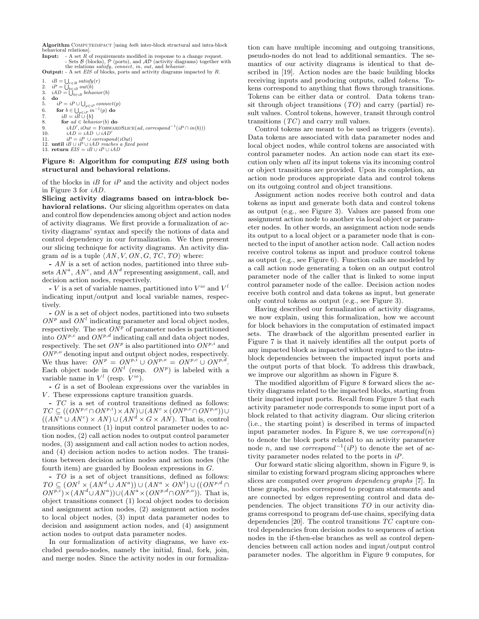Algorithm COMPUTEiMPACT [using *both* inter-block structural and intra-block behavioral relations].

**Input:**  $A$  set  $R$  of requirements modified in response to a change request. Sets  $\beta$  (blocks),  $\mathcal{P}$  (ports), and  $\mathcal{AD}$  (activity diagrams) together with the relations satisfy, connect, in, out, and behavior.<br>
Output: - A set EIS of blocks, ports and activity diagrams impacted by R.

```
1. iB = \bigcup_{r \in R} satisfy(r)2. iP = \bigcup_{b \in iB} out(b)<br>3. iAD = \bigcup_{b \in iB} behaviour(b)4. do
 5. iP = iP \cup \bigcup_{p \in iP} connect(p)6. for b \in \bigcup_{p \in iP} i p^{-1}(p) do<br>
7. iB = iB \cup \{b\}<br>
8. for ad \in behavior(b) do
 9. iAD', iOut = \text{FORWARDSLICE}(ad, cd)<br>
10. iAD = iAD \cup iAD'<br>
11. iB \cup iP \cup iAD reaches a fixed point<br>
12. until iB \cup iP \cup iAD reaches a fixed point<br>
13. return EIS = iB \cup iP \cup iAD, iOut = \text{FORWARDSLICE}(ad, corresponding^{-1}(iP \cap in(b)))
```
#### Figure 8: Algorithm for computing EIS using both structural and behavioral relations.

of the blocks in  $i\bar{B}$  for  $i\bar{P}$  and the activity and object nodes in Figure 3 for iAD.

Slicing activity diagrams based on intra-block behavioral relations. Our slicing algorithm operates on data and control flow dependencies among object and action nodes of activity diagrams. We first provide a formalization of activity diagrams' syntax and specify the notions of data and control dependency in our formalization. We then present our slicing technique for activity diagrams. An activity diagram ad is a tuple  $\langle AN, V, ON, G, TC, TO \rangle$  where:

- AN is a set of action nodes, partitioned into three subsets  $AN^a$ ,  $AN^c$ , and  $AN^d$  representing assignment, call, and decision action nodes, respectively.

- V is a set of variable names, partitioned into  $V^{io}$  and  $V^l$ indicating input/output and local variable names, respectively.

- ON is a set of object nodes, partitioned into two subsets  $ON<sup>p</sup>$  and  $ON<sup>l</sup>$  indicating parameter and local object nodes, respectively. The set  $ON<sup>p</sup>$  of parameter nodes is partitioned into  $ON^{p,c}$  and  $ON^{p,d}$  indicating call and data object nodes, respectively. The set  $ON^p$  is also partitioned into  $ON^{p,i}$  and  $ON<sup>p,o</sup>$  denoting input and output object nodes, respectively. We thus have:  $ON^p = ON^{p,i} \cup ON^{p,o} = ON^{p,c} \cup ON^{p,d}$ . Each object node in  $ON<sup>l</sup>$  (resp.  $ON<sup>p</sup>$ ) is labeled with a variable name in  $V^l$  (resp.  $V^{io}$ ).

- G is a set of Boolean expressions over the variables in  $V$ . These expressions capture transition guards.

- TC is a set of control transitions defined as follows:  $TC \subseteq ((ON^{p,c} \cap ON^{p,i}) \times AN) \cup (AN^c \times (ON^{p,c} \cap ON^{p,o})) \cup$  $((AN^a \cup AN^c) \times AN) \cup (AN^d \times G \times AN)$ . That is, control transitions connect (1) input control parameter nodes to action nodes, (2) call action nodes to output control parameter nodes,  $(3)$  assignment and call action nodes to action nodes, and (4) decision action nodes to action nodes. The transitions between decision action nodes and action nodes (the fourth item) are guarded by Boolean expressions in G.

- TO is a set of object transitions, defined as follows:  $TO \subseteq (ON^{l} \times (AN^{d} \cup AN^{a})) \cup (AN^{a} \times ON^{l}) \cup ((ON^{p,d} \cap$  $ON^{p,i})\times (AN^d\cup AN^a))\cup (AN^a\times (ON^{p,d}\cap ON^{p,o}))$ . That is, object transitions connect (1) local object nodes to decision and assignment action nodes, (2) assignment action nodes to local object nodes, (3) input data parameter nodes to decision and assignment action nodes, and (4) assignment action nodes to output data parameter nodes.

In our formalization of activity diagrams, we have excluded pseudo-nodes, namely the initial, final, fork, join, and merge nodes. Since the activity nodes in our formalization can have multiple incoming and outgoing transitions, pseudo-nodes do not lead to additional semantics. The semantics of our activity diagrams is identical to that described in [19]. Action nodes are the basic building blocks receiving inputs and producing outputs, called tokens. Tokens correspond to anything that flows through transitions. Tokens can be either data or control. Data tokens transit through object transitions  $(TO)$  and carry (partial) result values. Control tokens, however, transit through control transitions (TC) and carry null values.

Control tokens are meant to be used as triggers (events). Data tokens are associated with data parameter nodes and local object nodes, while control tokens are associated with control parameter nodes. An action node can start its execution only when all its input tokens via its incoming control or object transitions are provided. Upon its completion, an action node produces appropriate data and control tokens on its outgoing control and object transitions.

Assignment action nodes receive both control and data tokens as input and generate both data and control tokens as output (e.g., see Figure 3). Values are passed from one assignment action node to another via local object or parameter nodes. In other words, an assignment action node sends its output to a local object or a parameter node that is connected to the input of another action node. Call action nodes receive control tokens as input and produce control tokens as output (e.g., see Figure 6). Function calls are modeled by a call action node generating a token on an output control parameter node of the caller that is linked to some input control parameter node of the callee. Decision action nodes receive both control and data tokens as input, but generate only control tokens as output (e.g., see Figure 3).

Having described our formalization of activity diagrams, we now explain, using this formalization, how we account for block behaviors in the computation of estimated impact sets. The drawback of the algorithm presented earlier in Figure 7 is that it naively identifies all the output ports of any impacted block as impacted without regard to the intrablock dependencies between the impacted input ports and the output ports of that block. To address this drawback, we improve our algorithm as shown in Figure 8.

The modified algorithm of Figure 8 forward slices the activity diagrams related to the impacted blocks, starting from their impacted input ports. Recall from Figure 5 that each activity parameter node corresponds to some input port of a block related to that activity diagram. Our slicing criterion (i.e., the starting point) is described in terms of impacted input parameter nodes. In Figure 8, we use  $correspond(n)$ to denote the block ports related to an activity parameter node *n*, and use  $correspond^{-1}(iP)$  to denote the set of activity parameter nodes related to the ports in iP.

Our forward static slicing algorithm, shown in Figure 9, is similar to existing forward program slicing approaches where slices are computed over program dependency graphs [7]. In these graphs, nodes correspond to program statements and are connected by edges representing control and data dependencies. The object transitions TO in our activity diagrams correspond to program def-use chains, specifying data dependencies [20]. The control transitions TC capture control dependencies from decision nodes to sequences of action nodes in the if-then-else branches as well as control dependencies between call action nodes and input/output control parameter nodes. The algorithm in Figure 9 computes, for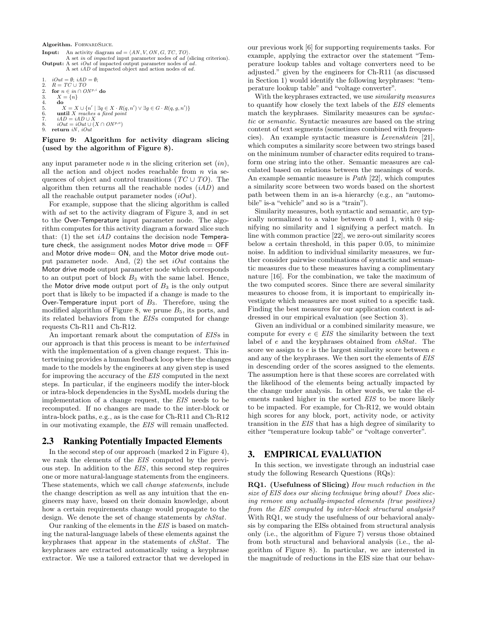Algorithm. FORWARDSLICE.

```
Input: An activity diagram ad = \langle AN, V, ON, G, TC, TO \rangle.
              A set in of impacted input parameter nodes of ad (slicing criterion).
Output: A set iOut of impacted output parameter nodes of ad.
             A set iAD of impacted object and action nodes of ad.
1. iOut = \emptyset; iAD = \emptyset;<br>2. R = TC \cup TO2. for n \in in \cap ON^{p,i} do<br>3. X = \{n\}3. X = \{n\}<br>4. do
        4. do
5. X = X \cup \{n' \mid \exists q \in X \cdot R(q, n') \vee \exists g \in G \cdot R(q, g, n')\}<br>6. until X reaches a fixed point
        iAD = iAD \cup X8. iOut = iOut ∪ (X \cap ON^{p, o})<br>9. return iN, iOut
     return i\ddot{N}, iOut
```
#### Figure 9: Algorithm for activity diagram slicing (used by the algorithm of Figure 8).

any input parameter node  $n$  in the slicing criterion set  $(in)$ , all the action and object nodes reachable from  $n$  via sequences of object and control transitions ( $TC \cup TO$ ). The algorithm then returns all the reachable nodes  $(iAD)$  and all the reachable output parameter nodes  $(iOut)$ .

For example, suppose that the slicing algorithm is called with ad set to the activity diagram of Figure 3, and in set to the Over-Temperature input parameter node. The algorithm computes for this activity diagram a forward slice such that: (1) the set  $iAD$  contains the decision node Temperature check, the assignment nodes Motor drive mode  $=$  OFF and Motor drive mode= ON, and the Motor drive mode output parameter node. And,  $(2)$  the set *iOut* contains the Motor drive mode output parameter node which corresponds to an output port of block  $B_3$  with the same label. Hence, the Motor drive mode output port of  $B_3$  is the only output port that is likely to be impacted if a change is made to the Over-Temperature input port of  $B_3$ . Therefore, using the modified algorithm of Figure 8, we prune  $B_5$ , its ports, and its related behaviors from the EISs computed for change requests Ch-R11 and Ch-R12.

An important remark about the computation of EISs in our approach is that this process is meant to be intertwined with the implementation of a given change request. This intertwining provides a human feedback loop where the changes made to the models by the engineers at any given step is used for improving the accuracy of the EIS computed in the next steps. In particular, if the engineers modify the inter-block or intra-block dependencies in the SysML models during the implementation of a change request, the EIS needs to be recomputed. If no changes are made to the inter-block or intra-block paths, e.g., as is the case for Ch-R11 and Ch-R12 in our motivating example, the EIS will remain unaffected.

## 2.3 Ranking Potentially Impacted Elements

In the second step of our approach (marked 2 in Figure 4), we rank the elements of the EIS computed by the previous step. In addition to the EIS, this second step requires one or more natural-language statements from the engineers. These statements, which we call change statements, include the change description as well as any intuition that the engineers may have, based on their domain knowledge, about how a certain requirements change would propagate to the design. We denote the set of change statements by *chStat*.

Our ranking of the elements in the EIS is based on matching the natural-language labels of these elements against the keyphrases that appear in the statements of chStat. The keyphrases are extracted automatically using a keyphrase extractor. We use a tailored extractor that we developed in our previous work [6] for supporting requirements tasks. For example, applying the extractor over the statement "Temperature lookup tables and voltage converters need to be adjusted." given by the engineers for Ch-R11 (as discussed in Section 1) would identify the following keyphrases: "temperature lookup table" and "voltage converter".

With the keyphrases extracted, we use *similarity measures* to quantify how closely the text labels of the EIS elements match the keyphrases. Similarity measures can be *syntac*tic or semantic. Syntactic measures are based on the string content of text segments (sometimes combined with frequencies). An example syntactic measure is Levenshtein [21], which computes a similarity score between two strings based on the minimum number of character edits required to transform one string into the other. Semantic measures are calculated based on relations between the meanings of words. An example semantic measure is Path [22], which computes a similarity score between two words based on the shortest path between them in an is-a hierarchy (e.g., an "automobile" is-a "vehicle" and so is a "train").

Similarity measures, both syntactic and semantic, are typically normalized to a value between 0 and 1, with 0 signifying no similarity and 1 signifying a perfect match. In line with common practice [22], we zero-out similarity scores below a certain threshold, in this paper 0.05, to minimize noise. In addition to individual similarity measures, we further consider pairwise combinations of syntactic and semantic measures due to these measures having a complimentary nature [16]. For the combination, we take the maximum of the two computed scores. Since there are several similarity measures to choose from, it is important to empirically investigate which measures are most suited to a specific task. Finding the best measures for our application context is addressed in our empirical evaluation (see Section 3).

Given an individual or a combined similarity measure, we compute for every  $e \in EIS$  the similarity between the text label of e and the keyphrases obtained from chStat. The score we assign to e is the largest similarity score between e and any of the keyphrases. We then sort the elements of EIS in descending order of the scores assigned to the elements. The assumption here is that these scores are correlated with the likelihood of the elements being actually impacted by the change under analysis. In other words, we take the elements ranked higher in the sorted EIS to be more likely to be impacted. For example, for Ch-R12, we would obtain high scores for any block, port, activity node, or activity transition in the EIS that has a high degree of similarity to either "temperature lookup table" or "voltage converter".

## 3. EMPIRICAL EVALUATION

In this section, we investigate through an industrial case study the following Research Questions (RQs):

RQ1. (Usefulness of Slicing) How much reduction in the size of EIS does our slicing technique bring about? Does slicing remove any actually-impacted elements (true positives) from the EIS computed by inter-block structural analysis? With RQ1, we study the usefulness of our behavioral analysis by comparing the EISs obtained from structural analysis only (i.e., the algorithm of Figure 7) versus those obtained from both structural and behavioral analysis (i.e., the algorithm of Figure 8). In particular, we are interested in the magnitude of reductions in the EIS size that our behav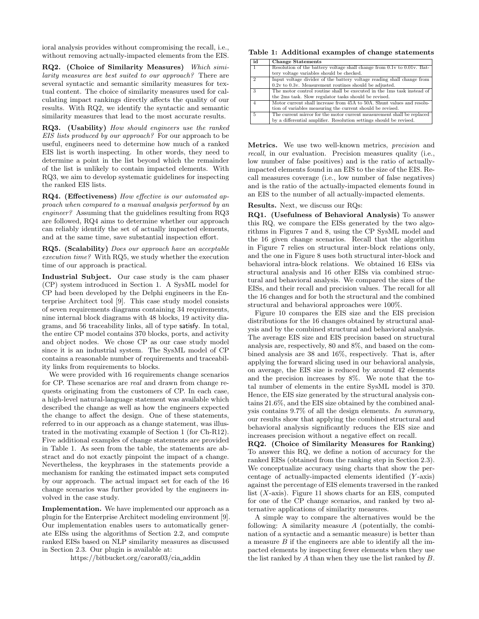ioral analysis provides without compromising the recall, i.e., without removing actually-impacted elements from the EIS.

RQ2. (Choice of Similarity Measures) Which similarity measures are best suited to our approach? There are several syntactic and semantic similarity measures for textual content. The choice of similarity measures used for calculating impact rankings directly affects the quality of our results. With RQ2, we identify the syntactic and semantic similarity measures that lead to the most accurate results.

RQ3. (Usability) How should engineers use the ranked EIS lists produced by our approach? For our approach to be useful, engineers need to determine how much of a ranked EIS list is worth inspecting. In other words, they need to determine a point in the list beyond which the remainder of the list is unlikely to contain impacted elements. With RQ3, we aim to develop systematic guidelines for inspecting the ranked EIS lists.

RQ4. (Effectiveness) How effective is our automated approach when compared to a manual analysis performed by an engineer? Assuming that the guidelines resulting from RQ3 are followed, RQ4 aims to determine whether our approach can reliably identify the set of actually impacted elements, and at the same time, save substantial inspection effort.

RQ5. (Scalability) Does our approach have an acceptable execution time? With RQ5, we study whether the execution time of our approach is practical.

Industrial Subject. Our case study is the cam phaser (CP) system introduced in Section 1. A SysML model for CP had been developed by the Delphi engineers in the Enterprise Architect tool [9]. This case study model consists of seven requirements diagrams containing 34 requirements, nine internal block diagrams with 48 blocks, 19 activity diagrams, and 56 traceability links, all of type satisfy. In total, the entire CP model contains 370 blocks, ports, and activity and object nodes. We chose CP as our case study model since it is an industrial system. The SysML model of CP contains a reasonable number of requirements and traceability links from requirements to blocks.

We were provided with 16 requirements change scenarios for CP. These scenarios are real and drawn from change requests originating from the customers of CP. In each case, a high-level natural-language statement was available which described the change as well as how the engineers expected the change to affect the design. One of these statements, referred to in our approach as a change statement, was illustrated in the motivating example of Section 1 (for Ch-R12). Five additional examples of change statements are provided in Table 1. As seen from the table, the statements are abstract and do not exactly pinpoint the impact of a change. Nevertheless, the keyphrases in the statements provide a mechanism for ranking the estimated impact sets computed by our approach. The actual impact set for each of the 16 change scenarios was further provided by the engineers involved in the case study.

Implementation. We have implemented our approach as a plugin for the Enterprise Architect modeling environment [9]. Our implementation enables users to automatically generate EISs using the algorithms of Section 2.2, and compute ranked EISs based on NLP similarity measures as discussed in Section 2.3. Our plugin is available at:

https://bitbucket.org/carora03/cia addin

Table 1: Additional examples of change statements

| id             | <b>Change Statements</b>                                                |
|----------------|-------------------------------------------------------------------------|
| $\mathbf{1}$   | Resolution of the battery voltage shall change from 0.1v to 0.01v. Bat- |
|                | tery voltage variables should be checked.                               |
| $\overline{2}$ | Input voltage divider of the battery voltage reading shall change from  |
|                | $0.2v$ to $0.3v$ . Measurement routines should be adjusted.             |
| 3              | The motor control routine shall be executed in the 1ms task instead of  |
|                | the 2ms task. Slow regulator tasks should be revised.                   |
| $\overline{4}$ | Motor current shall increase from 45A to 50A. Shunt values and resolu-  |
|                | tion of variables measuring the current should be revised.              |
| 5              | The current mirror for the motor current measurement shall be replaced  |
|                | by a differential amplifier. Resolution settings should be revised.     |

Metrics. We use two well-known metrics, precision and recall, in our evaluation. Precision measures quality (i.e., low number of false positives) and is the ratio of actuallyimpacted elements found in an EIS to the size of the EIS. Recall measures coverage (i.e., low number of false negatives) and is the ratio of the actually-impacted elements found in an EIS to the number of all actually-impacted elements.

#### Results. Next, we discuss our RQs:

RQ1. (Usefulness of Behavioral Analysis) To answer this RQ, we compare the EISs generated by the two algorithms in Figures 7 and 8, using the CP SysML model and the 16 given change scenarios. Recall that the algorithm in Figure 7 relies on structural inter-block relations only, and the one in Figure 8 uses both structural inter-block and behavioral intra-block relations. We obtained 16 EISs via structural analysis and 16 other EISs via combined structural and behavioral analysis. We compared the sizes of the EISs, and their recall and precision values. The recall for all the 16 changes and for both the structural and the combined structural and behavioral approaches were 100%.

Figure 10 compares the EIS size and the EIS precision distributions for the 16 changes obtained by structural analysis and by the combined structural and behavioral analysis. The average EIS size and EIS precision based on structural analysis are, respectively, 80 and 8%, and based on the combined analysis are 38 and 16%, respectively. That is, after applying the forward slicing used in our behavioral analysis, on average, the EIS size is reduced by around 42 elements and the precision increases by 8%. We note that the total number of elements in the entire SysML model is 370. Hence, the EIS size generated by the structural analysis contains 21.6%, and the EIS size obtained by the combined analysis contains 9.7% of all the design elements. In summary, our results show that applying the combined structural and behavioral analysis significantly reduces the EIS size and increases precision without a negative effect on recall.

RQ2. (Choice of Similarity Measures for Ranking) To answer this RQ, we define a notion of accuracy for the ranked EISs (obtained from the ranking step in Section 2.3). We conceptualize accuracy using charts that show the percentage of actually-impacted elements identified  $(Y$ -axis) against the percentage of EIS elements traversed in the ranked list  $(X$ -axis). Figure 11 shows charts for an EIS, computed for one of the CP change scenarios, and ranked by two alternative applications of similarity measures.

A simple way to compare the alternatives would be the following: A similarity measure  $A$  (potentially, the combination of a syntactic and a semantic measure) is better than a measure  $B$  if the engineers are able to identify all the impacted elements by inspecting fewer elements when they use the list ranked by A than when they use the list ranked by B.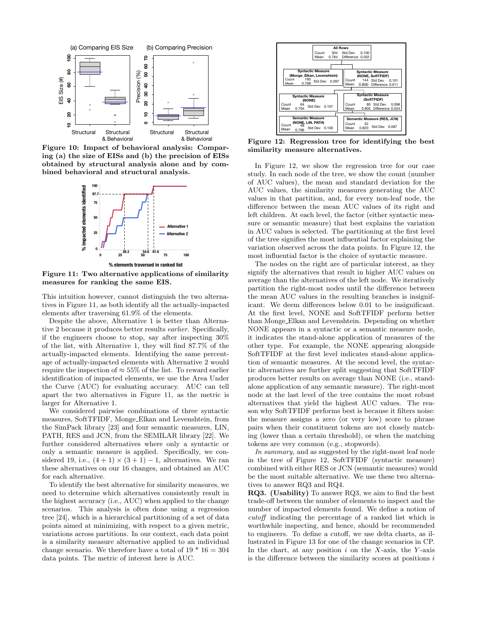

Figure 10: Impact of behavioral analysis: Comparing (a) the size of EISs and (b) the precision of EISs obtained by structural analysis alone and by combined behavioral and structural analysis.



Figure 11: Two alternative applications of similarity measures for ranking the same EIS.

This intuition however, cannot distinguish the two alternatives in Figure 11, as both identify all the actually-impacted elements after traversing 61.9% of the elements.

Despite the above, Alternative 1 is better than Alternative 2 because it produces better results earlier. Specifically, if the engineers choose to stop, say after inspecting 30% of the list, with Alternative 1, they will find 87.7% of the actually-impacted elements. Identifying the same percentage of actually-impacted elements with Alternative 2 would require the inspection of  $\approx 55\%$  of the list. To reward earlier identification of impacted elements, we use the Area Under the Curve (AUC) for evaluating accuracy. AUC can tell apart the two alternatives in Figure 11, as the metric is larger for Alternative 1.

We considered pairwise combinations of three syntactic measures, SoftTFIDF, Monge Elkan and Levenshtein, from the SimPack library [23] and four semantic measures, LIN, PATH, RES and JCN, from the SEMILAR library [22]. We further considered alternatives where only a syntactic or only a semantic measure is applied. Specifically, we considered 19, i.e.,  $(4 + 1) \times (3 + 1) - 1$ , alternatives. We ran these alternatives on our 16 changes, and obtained an AUC for each alternative.

To identify the best alternative for similarity measures, we need to determine which alternatives consistently result in the highest accuracy (i.e., AUC) when applied to the change scenarios. This analysis is often done using a regression tree [24], which is a hierarchical partitioning of a set of data points aimed at minimizing, with respect to a given metric, variations across partitions. In our context, each data point is a similarity measure alternative applied to an individual change scenario. We therefore have a total of  $19 * 16 = 304$ data points. The metric of interest here is AUC.



Figure 12: Regression tree for identifying the best similarity measure alternatives.

In Figure 12, we show the regression tree for our case study. In each node of the tree, we show the count (number of AUC values), the mean and standard deviation for the AUC values, the similarity measures generating the AUC values in that partition, and, for every non-leaf node, the difference between the mean AUC values of its right and left children. At each level, the factor (either syntactic measure or semantic measure) that best explains the variation in AUC values is selected. The partitioning at the first level of the tree signifies the most influential factor explaining the variation observed across the data points. In Figure 12, the most influential factor is the choice of syntactic measure.

The nodes on the right are of particular interest, as they signify the alternatives that result in higher AUC values on average than the alternatives of the left node. We iteratively partition the right-most nodes until the difference between the mean AUC values in the resulting branches is insignificant. We deem differences below 0.01 to be insignificant. At the first level, NONE and SoftTFIDF perform better than Monge Elkan and Levenshtein. Depending on whether NONE appears in a syntactic or a semantic measure node, it indicates the stand-alone application of measures of the other type. For example, the NONE appearing alongside SoftTFIDF at the first level indicates stand-alone application of semantic measures. At the second level, the syntactic alternatives are further split suggesting that SoftTFIDF produces better results on average than NONE (i.e., standalone application of any semantic measure). The right-most node at the last level of the tree contains the most robust alternatives that yield the highest AUC values. The reason why SoftTFIDF performs best is because it filters noise: the measure assigns a zero (or very low) score to phrase pairs when their constituent tokens are not closely matching (lower than a certain threshold), or when the matching tokens are very common (e.g., stopwords).

In summary, and as suggested by the right-most leaf node in the tree of Figure 12, SoftTFIDF (syntactic measure) combined with either RES or JCN (semantic measures) would be the most suitable alternative. We use these two alternatives to answer RQ3 and RQ4.

RQ3. (Usability) To answer RQ3, we aim to find the best trade-off between the number of elements to inspect and the number of impacted elements found. We define a notion of cutoff indicating the percentage of a ranked list which is worthwhile inspecting, and hence, should be recommended to engineers. To define a cutoff, we use delta charts, as illustrated in Figure 13 for one of the change scenarios in CP. In the chart, at any position  $i$  on the X-axis, the Y-axis is the difference between the similarity scores at positions  $i$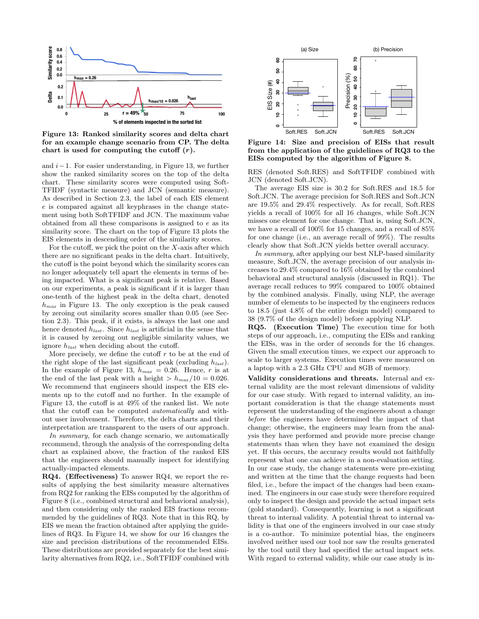

Figure 13: Ranked similarity scores and delta chart for an example change scenario from CP. The delta chart is used for computing the cutoff  $(r)$ .

and  $i-1$ . For easier understanding, in Figure 13, we further show the ranked similarity scores on the top of the delta chart. These similarity scores were computed using Soft-TFIDF (syntactic measure) and JCN (semantic measure). As described in Section 2.3, the label of each EIS element e is compared against all keyphrases in the change statement using both SoftTFIDF and JCN. The maximum value obtained from all these comparisons is assigned to  $e$  as its similarity score. The chart on the top of Figure 13 plots the EIS elements in descending order of the similarity scores.

For the cutoff, we pick the point on the  $X$ -axis after which there are no significant peaks in the delta chart. Intuitively, the cutoff is the point beyond which the similarity scores can no longer adequately tell apart the elements in terms of being impacted. What is a significant peak is relative. Based on our experiments, a peak is significant if it is larger than one-tenth of the highest peak in the delta chart, denoted  $h_{max}$  in Figure 13. The only exception is the peak caused by zeroing out similarity scores smaller than 0.05 (see Section 2.3). This peak, if it exists, is always the last one and hence denoted  $h_{last}$ . Since  $h_{last}$  is artificial in the sense that it is caused by zeroing out negligible similarity values, we ignore  $h_{last}$  when deciding about the cutoff.

More precisely, we define the cutoff  $r$  to be at the end of the right slope of the last significant peak (excluding  $h_{last}$ ). In the example of Figure 13,  $h_{max} = 0.26$ . Hence, r is at the end of the last peak with a height  $> h_{max}/10 = 0.026$ . We recommend that engineers should inspect the EIS elements up to the cutoff and no further. In the example of Figure 13, the cutoff is at 49% of the ranked list. We note that the cutoff can be computed automatically and without user involvement. Therefore, the delta charts and their interpretation are transparent to the users of our approach.

In summary, for each change scenario, we automatically recommend, through the analysis of the corresponding delta chart as explained above, the fraction of the ranked EIS that the engineers should manually inspect for identifying actually-impacted elements.

RQ4. (Effectiveness) To answer RQ4, we report the results of applying the best similarity measure alternatives from RQ2 for ranking the EISs computed by the algorithm of Figure 8 (i.e., combined structural and behavioral analysis), and then considering only the ranked EIS fractions recommended by the guidelines of RQ3. Note that in this RQ, by EIS we mean the fraction obtained after applying the guidelines of RQ3. In Figure 14, we show for our 16 changes the size and precision distributions of the recommended EISs. These distributions are provided separately for the best similarity alternatives from RQ2, i.e., SoftTFIDF combined with



Figure 14: Size and precision of EISs that result from the application of the guidelines of RQ3 to the EISs computed by the algorithm of Figure 8.

RES (denoted Soft.RES) and SoftTFIDF combined with JCN (denoted Soft.JCN).

The average EIS size is 30.2 for Soft.RES and 18.5 for Soft.JCN. The average precision for Soft.RES and Soft.JCN are 19.5% and 29.4% respectively. As for recall, Soft.RES yields a recall of 100% for all 16 changes, while Soft.JCN misses one element for one change. That is, using Soft.JCN, we have a recall of 100% for 15 changes, and a recall of 85% for one change (i.e., an average recall of 99%). The results clearly show that Soft.JCN yields better overall accuracy.

In summary, after applying our best NLP-based similarity measure, Soft.JCN, the average precision of our analysis increases to 29.4% compared to 16% obtained by the combined behavioral and structural analysis (discussed in RQ1). The average recall reduces to 99% compared to 100% obtained by the combined analysis. Finally, using NLP, the average number of elements to be inspected by the engineers reduces to 18.5 (just 4.8% of the entire design model) compared to 38 (9.7% of the design model) before applying NLP.

RQ5. (Execution Time) The execution time for both steps of our approach, i.e., computing the EISs and ranking the EISs, was in the order of seconds for the 16 changes. Given the small execution times, we expect our approach to scale to larger systems. Execution times were measured on a laptop with a 2.3 GHz CPU and 8GB of memory.

Validity considerations and threats. Internal and external validity are the most relevant dimensions of validity for our case study. With regard to internal validity, an important consideration is that the change statements must represent the understanding of the engineers about a change before the engineers have determined the impact of that change; otherwise, the engineers may learn from the analysis they have performed and provide more precise change statements than when they have not examined the design yet. If this occurs, the accuracy results would not faithfully represent what one can achieve in a non-evaluation setting. In our case study, the change statements were pre-existing and written at the time that the change requests had been filed, i.e., before the impact of the changes had been examined. The engineers in our case study were therefore required only to inspect the design and provide the actual impact sets (gold standard). Consequently, learning is not a significant threat to internal validity. A potential threat to internal validity is that one of the engineers involved in our case study is a co-author. To minimize potential bias, the engineers involved neither used our tool nor saw the results generated by the tool until they had specified the actual impact sets. With regard to external validity, while our case study is in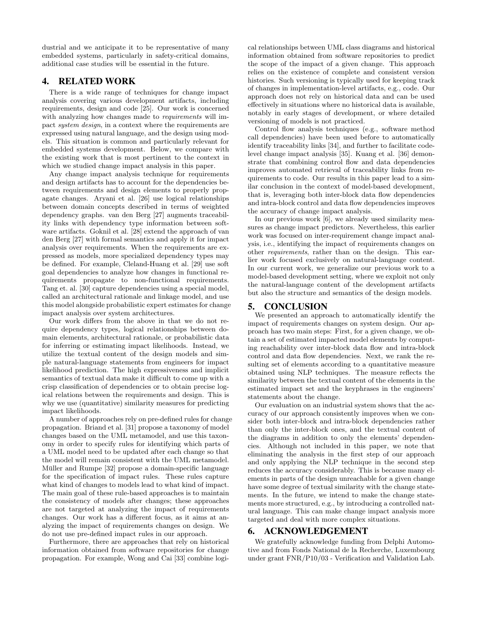dustrial and we anticipate it to be representative of many embedded systems, particularly in safety-critical domains, additional case studies will be essential in the future.

# 4. RELATED WORK

There is a wide range of techniques for change impact analysis covering various development artifacts, including requirements, design and code [25]. Our work is concerned with analyzing how changes made to *requirements* will impact system design, in a context where the requirements are expressed using natural language, and the design using models. This situation is common and particularly relevant for embedded systems development. Below, we compare with the existing work that is most pertinent to the context in which we studied change impact analysis in this paper.

Any change impact analysis technique for requirements and design artifacts has to account for the dependencies between requirements and design elements to properly propagate changes. Aryani et al. [26] use logical relationships between domain concepts described in terms of weighted dependency graphs. van den Berg [27] augments traceability links with dependency type information between software artifacts. Goknil et al. [28] extend the approach of van den Berg [27] with formal semantics and apply it for impact analysis over requirements. When the requirements are expressed as models, more specialized dependency types may be defined. For example, Cleland-Huang et al. [29] use soft goal dependencies to analyze how changes in functional requirements propagate to non-functional requirements. Tang et. al. [30] capture dependencies using a special model, called an architectural rationale and linkage model, and use this model alongside probabilistic expert estimates for change impact analysis over system architectures.

Our work differs from the above in that we do not require dependency types, logical relationships between domain elements, architectural rationale, or probabilistic data for inferring or estimating impact likelihoods. Instead, we utilize the textual content of the design models and simple natural-language statements from engineers for impact likelihood prediction. The high expressiveness and implicit semantics of textual data make it difficult to come up with a crisp classification of dependencies or to obtain precise logical relations between the requirements and design. This is why we use (quantitative) similarity measures for predicting impact likelihoods.

A number of approaches rely on pre-defined rules for change propagation. Briand et al. [31] propose a taxonomy of model changes based on the UML metamodel, and use this taxonomy in order to specify rules for identifying which parts of a UML model need to be updated after each change so that the model will remain consistent with the UML metamodel. Müller and Rumpe [32] propose a domain-specific language for the specification of impact rules. These rules capture what kind of changes to models lead to what kind of impact. The main goal of these rule-based approaches is to maintain the consistency of models after changes; these approaches are not targeted at analyzing the impact of requirements changes. Our work has a different focus, as it aims at analyzing the impact of requirements changes on design. We do not use pre-defined impact rules in our approach.

Furthermore, there are approaches that rely on historical information obtained from software repositories for change propagation. For example, Wong and Cai [33] combine logical relationships between UML class diagrams and historical information obtained from software repositories to predict the scope of the impact of a given change. This approach relies on the existence of complete and consistent version histories. Such versioning is typically used for keeping track of changes in implementation-level artifacts, e.g., code. Our approach does not rely on historical data and can be used effectively in situations where no historical data is available, notably in early stages of development, or where detailed versioning of models is not practiced.

Control flow analysis techniques (e.g., software method call dependencies) have been used before to automatically identify traceability links [34], and further to facilitate codelevel change impact analysis [35]. Kuang et al. [36] demonstrate that combining control flow and data dependencies improves automated retrieval of traceability links from requirements to code. Our results in this paper lead to a similar conclusion in the context of model-based development, that is, leveraging both inter-block data flow dependencies and intra-block control and data flow dependencies improves the accuracy of change impact analysis.

In our previous work [6], we already used similarity measures as change impact predictors. Nevertheless, this earlier work was focused on inter-requirement change impact analysis, i.e., identifying the impact of requirements changes on other requirements, rather than on the design. This earlier work focused exclusively on natural-language content. In our current work, we generalize our previous work to a model-based development setting, where we exploit not only the natural-language content of the development artifacts but also the structure and semantics of the design models.

## 5. CONCLUSION

We presented an approach to automatically identify the impact of requirements changes on system design. Our approach has two main steps: First, for a given change, we obtain a set of estimated impacted model elements by computing reachability over inter-block data flow and intra-block control and data flow dependencies. Next, we rank the resulting set of elements according to a quantitative measure obtained using NLP techniques. The measure reflects the similarity between the textual content of the elements in the estimated impact set and the keyphrases in the engineers' statements about the change.

Our evaluation on an industrial system shows that the accuracy of our approach consistently improves when we consider both inter-block and intra-block dependencies rather than only the inter-block ones, and the textual content of the diagrams in addition to only the elements' dependencies. Although not included in this paper, we note that eliminating the analysis in the first step of our approach and only applying the NLP technique in the second step reduces the accuracy considerably. This is because many elements in parts of the design unreachable for a given change have some degree of textual similarity with the change statements. In the future, we intend to make the change statements more structured, e.g., by introducing a controlled natural language. This can make change impact analysis more targeted and deal with more complex situations.

## 6. ACKNOWLEDGEMENT

We gratefully acknowledge funding from Delphi Automotive and from Fonds National de la Recherche, Luxembourg under grant FNR/P10/03 - Verification and Validation Lab.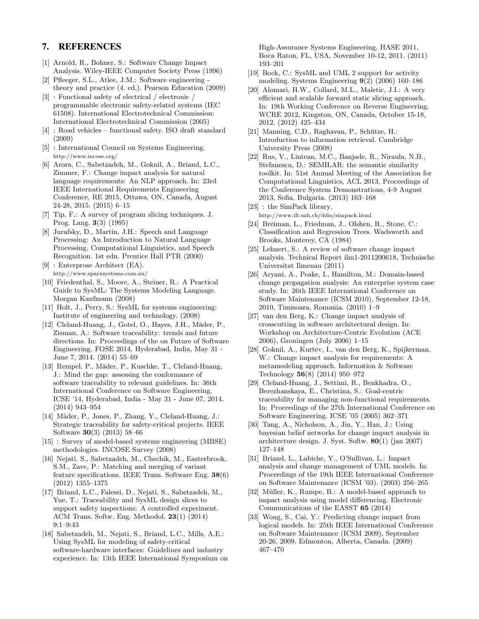## 7. REFERENCES

- [1] Arnold, R., Bohner, S.: Software Change Impact Analysis. Wiley-IEEE Computer Society Press (1996)
- [2] Pfleeger, S.L., Atlee, J.M.: Software engineering theory and practice (4. ed.). Pearson Education (2009)
- [3] : Functional safety of electrical / electronic / programmable electronic safety-related systems (IEC 61508). International Electrotechnical Commission: International Electrotechnical Commission (2005)
- [4] : Road vehicles functional safety. ISO draft standard (2009)
- [5] : International Council on Systems Engineering. http://www.incose.org/
- [6] Arora, C., Sabetzadeh, M., Goknil, A., Briand, L.C., Zimmer, F.: Change impact analysis for natural language requirements: An NLP approach. In: 23rd IEEE International Requirements Engineering Conference, RE 2015, Ottawa, ON, Canada, August 24-28, 2015. (2015) 6–15
- [7] Tip, F.: A survey of program slicing techniques. J. Prog. Lang. 3(3) (1995)
- [8] Jurafsky, D., Martin, J.H.: Speech and Language Processing: An Introduction to Natural Language Processing, Computational Linguistics, and Speech Recognition. 1st edn. Prentice Hall PTR (2000)
- [9] : Enterprose Architect (EA). http://www.sparxsystems.com.au/
- [10] Friedenthal, S., Moore, A., Steiner, R.: A Practical Guide to SysML: The Systems Modeling Language. Morgan Kaufmann (2008)
- [11] Holt, J., Perry, S.: SysML for systems engineering: Institute of engineering and technology. (2008)
- [12] Cleland-Huang, J., Gotel, O., Hayes, J.H., Mäder, P., Zisman, A.: Software traceability: trends and future directions. In: Proceedings of the on Future of Software Engineering, FOSE 2014, Hyderabad, India, May 31 - June 7, 2014. (2014) 55–69
- [13] Rempel, P., Mäder, P., Kuschke, T., Cleland-Huang, J.: Mind the gap: assessing the conformance of software traceability to relevant guidelines. In: 36th International Conference on Software Engineering, ICSE '14, Hyderabad, India - May 31 - June 07, 2014. (2014) 943–954
- [14] Mäder, P., Jones, P., Zhang, Y., Cleland-Huang, J.: Strategic traceability for safety-critical projects. IEEE Software 30(3) (2013) 58–66
- [15] : Survey of model-based systems engineering (MBSE) methodologies. INCOSE Survey (2008)
- [16] Nejati, S., Sabetzadeh, M., Chechik, M., Easterbrook, S.M., Zave, P.: Matching and merging of variant feature specifications. IEEE Trans. Software Eng. 38(6) (2012) 1355–1375
- [17] Briand, L.C., Falessi, D., Nejati, S., Sabetzadeh, M., Yue, T.: Traceability and SysML design slices to support safety inspections: A controlled experiment. ACM Trans. Softw. Eng. Methodol. 23(1) (2014) 9:1–9:43
- [18] Sabetzadeh, M., Nejati, S., Briand, L.C., Mills, A.E.: Using SysML for modeling of safety-critical software-hardware interfaces: Guidelines and industry experience. In: 13th IEEE International Symposium on

High-Assurance Systems Engineering, HASE 2011, Boca Raton, FL, USA, November 10-12, 2011. (2011) 193–201

- [19] Bock, C.: SysML and UML 2 support for activity modeling. Systems Engineering 9(2) (2006) 160–186
- [20] Alomari, H.W., Collard, M.L., Maletic, J.I.: A very efficient and scalable forward static slicing approach. In: 19th Working Conference on Reverse Engineering, WCRE 2012, Kingston, ON, Canada, October 15-18, 2012. (2012) 425–434
- [21] Manning, C.D., Raghavan, P., Schütze, H.: Introduction to information retrieval. Cambridge University Press (2008)
- [22] Rus, V., Lintean, M.C., Banjade, R., Niraula, N.B., Stefanescu, D.: SEMILAR: the semantic similarity toolkit. In: 51st Annual Meeting of the Association for Computational Linguistics, ACL 2013, Proceedings of the Conference System Demonstrations, 4-9 August 2013, Sofia, Bulgaria. (2013) 163–168
- [23] : the SimPack library. http://www.ifi.uzh.ch/ddis/simpack.html
- [24] Breiman, L., Friedman, J., Olshen, R., Stone, C.: Classification and Regression Trees. Wadsworth and Brooks, Monterey, CA (1984)
- [25] Lehnert, S.: A review of software change impact analysis. Technical Report ilm1-2011200618, Technische Universitat Ilmenau (2011)
- [26] Aryani, A., Peake, I., Hamilton, M.: Domain-based change propagation analysis: An enterprise system case study. In: 26th IEEE International Conference on Software Maintenance (ICSM 2010), September 12-18, 2010, Timisoara, Romania. (2010) 1–9
- [27] van den Berg, K.: Change impact analysis of crosscutting in software architectural design. In: Workshop on Architecture-Centric Evolution (ACE 2006), Groningen (July 2006) 1–15
- [28] Goknil, A., Kurtev, I., van den Berg, K., Spijkerman, W.: Change impact analysis for requirements: A metamodeling approach. Information & Software Technology 56(8) (2014) 950–972
- [29] Cleland-Huang, J., Settimi, R., Benkhadra, O., Berezhanskaya, E., Christina, S.: Goal-centric traceability for managing non-functional requirements. In: Proceedings of the 27th International Conference on Software Engineering. ICSE '05 (2005) 362–371
- [30] Tang, A., Nicholson, A., Jin, Y., Han, J.: Using bayesian belief networks for change impact analysis in architecture design. J. Syst. Softw. 80(1) (jan 2007) 127–148
- [31] Briand, L., Labiche, Y., O'Sullivan, L.: Impact analysis and change management of UML models. In: Proceedings of the 19th IEEE International Conference on Software Maintenance (ICSM '03). (2003) 256–265
- [32] Müller, K., Rumpe, B.: A model-based approach to impact analysis using model differencing. Electronic Communications of the EASST 65 (2014)
- [33] Wong, S., Cai, Y.: Predicting change impact from logical models. In: 25th IEEE International Conference on Software Maintenance (ICSM 2009), September 20-26, 2009, Edmonton, Alberta, Canada. (2009) 467–470